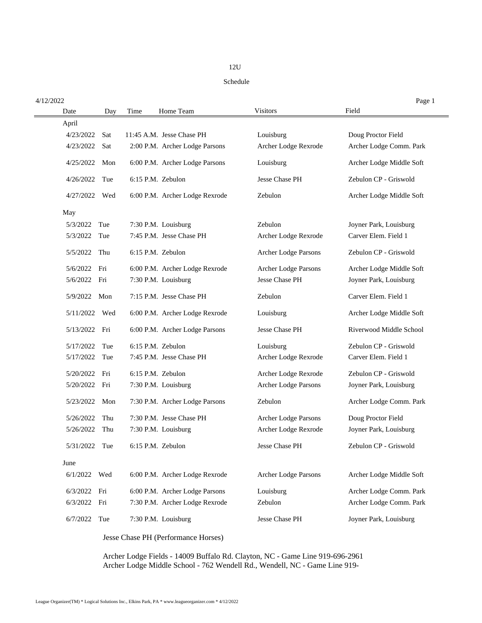## 12U

## Schedule

| 4/12/2022        |             |                                |                             | Page 1                   |
|------------------|-------------|--------------------------------|-----------------------------|--------------------------|
| Date             | Time<br>Day | Home Team                      | <b>Visitors</b>             | Field                    |
| April            |             |                                |                             |                          |
| 4/23/2022<br>Sat |             | 11:45 A.M. Jesse Chase PH      | Louisburg                   | Doug Proctor Field       |
| 4/23/2022<br>Sat |             | 2:00 P.M. Archer Lodge Parsons | Archer Lodge Rexrode        | Archer Lodge Comm. Park  |
| 4/25/2022        | Mon         | 6:00 P.M. Archer Lodge Parsons | Louisburg                   | Archer Lodge Middle Soft |
| Tue<br>4/26/2022 |             | 6:15 P.M. Zebulon              | Jesse Chase PH              | Zebulon CP - Griswold    |
| 4/27/2022        | Wed         | 6:00 P.M. Archer Lodge Rexrode | Zebulon                     | Archer Lodge Middle Soft |
| May              |             |                                |                             |                          |
| 5/3/2022<br>Tue  |             | 7:30 P.M. Louisburg            | Zebulon                     | Joyner Park, Louisburg   |
| 5/3/2022<br>Tue  |             | 7:45 P.M. Jesse Chase PH       | Archer Lodge Rexrode        | Carver Elem. Field 1     |
| 5/5/2022<br>Thu  |             | 6:15 P.M. Zebulon              | <b>Archer Lodge Parsons</b> | Zebulon CP - Griswold    |
| 5/6/2022<br>Fri  |             | 6:00 P.M. Archer Lodge Rexrode | <b>Archer Lodge Parsons</b> | Archer Lodge Middle Soft |
| 5/6/2022<br>Fri  |             | 7:30 P.M. Louisburg            | <b>Jesse Chase PH</b>       | Joyner Park, Louisburg   |
| 5/9/2022<br>Mon  |             | 7:15 P.M. Jesse Chase PH       | Zebulon                     | Carver Elem. Field 1     |
| 5/11/2022        | Wed         | 6:00 P.M. Archer Lodge Rexrode | Louisburg                   | Archer Lodge Middle Soft |
| 5/13/2022<br>Fri |             | 6:00 P.M. Archer Lodge Parsons | <b>Jesse Chase PH</b>       | Riverwood Middle School  |
| 5/17/2022        | Tue         | 6:15 P.M. Zebulon              | Louisburg                   | Zebulon CP - Griswold    |
| 5/17/2022<br>Tue |             | 7:45 P.M. Jesse Chase PH       | Archer Lodge Rexrode        | Carver Elem. Field 1     |
| 5/20/2022<br>Fri |             | 6:15 P.M. Zebulon              | Archer Lodge Rexrode        | Zebulon CP - Griswold    |
| 5/20/2022<br>Fri |             | 7:30 P.M. Louisburg            | Archer Lodge Parsons        | Joyner Park, Louisburg   |
| 5/23/2022        | Mon         | 7:30 P.M. Archer Lodge Parsons | Zebulon                     | Archer Lodge Comm. Park  |
| 5/26/2022        | Thu         | 7:30 P.M. Jesse Chase PH       | Archer Lodge Parsons        | Doug Proctor Field       |
| 5/26/2022        | Thu         | 7:30 P.M. Louisburg            | Archer Lodge Rexrode        | Joyner Park, Louisburg   |
| 5/31/2022<br>Tue |             | 6:15 P.M. Zebulon              | Jesse Chase PH              | Zebulon CP - Griswold    |
| June             |             |                                |                             |                          |
| 6/1/2022<br>Wed  |             | 6:00 P.M. Archer Lodge Rexrode | Archer Lodge Parsons        | Archer Lodge Middle Soft |
| 6/3/2022<br>Fri  |             | 6:00 P.M. Archer Lodge Parsons | Louisburg                   | Archer Lodge Comm. Park  |
| 6/3/2022<br>Fri  |             | 7:30 P.M. Archer Lodge Rexrode | Zebulon                     | Archer Lodge Comm. Park  |
| 6/7/2022<br>Tue  |             | 7:30 P.M. Louisburg            | Jesse Chase PH              | Joyner Park, Louisburg   |

Jesse Chase PH (Performance Horses)

Archer Lodge Fields - 14009 Buffalo Rd. Clayton, NC - Game Line 919-696-2961 Archer Lodge Middle School - 762 Wendell Rd., Wendell, NC - Game Line 919